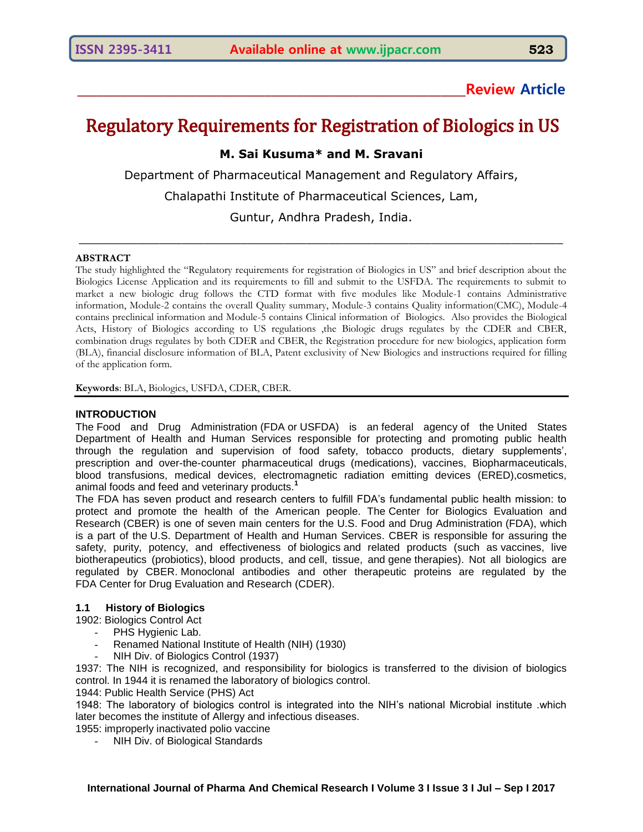## **\_\_\_\_\_\_\_\_\_\_\_\_\_\_\_\_\_\_\_\_\_\_\_\_\_\_\_\_\_\_\_\_\_\_\_\_\_\_\_\_\_\_\_\_\_\_\_\_\_\_\_\_\_\_\_\_\_\_\_\_\_\_Review Article**

# Regulatory Requirements for Registration of Biologics in US

## **M. Sai Kusuma\* and M. Sravani**

Department of Pharmaceutical Management and Regulatory Affairs,

Chalapathi Institute of Pharmaceutical Sciences, Lam,

Guntur, Andhra Pradesh, India.

 $\_$  , and the contribution of the contribution of  $\mathcal{L}_1$  , and  $\mathcal{L}_2$  , and  $\mathcal{L}_3$  , and  $\mathcal{L}_4$  , and  $\mathcal{L}_5$  , and  $\mathcal{L}_6$  , and  $\mathcal{L}_7$  , and  $\mathcal{L}_8$  , and  $\mathcal{L}_7$  , and  $\mathcal{L}_8$  , and  $\mathcal{L}_9$  ,

## **ABSTRACT**

The study highlighted the "Regulatory requirements for registration of Biologics in US" and brief description about the Biologics License Application and its requirements to fill and submit to the USFDA. The requirements to submit to market a new biologic drug follows the CTD format with five modules like Module-1 contains Administrative information, Module-2 contains the overall Quality summary, Module-3 contains Quality information(CMC), Module-4 contains preclinical information and Module-5 contains Clinical information of Biologics. Also provides the Biological Acts, History of Biologics according to US regulations ,the Biologic drugs regulates by the CDER and CBER, combination drugs regulates by both CDER and CBER, the Registration procedure for new biologics, application form (BLA), financial disclosure information of BLA, Patent exclusivity of New Biologics and instructions required for filling of the application form.

**Keywords**: BLA, Biologics, USFDA, CDER, CBER.

## **INTRODUCTION**

The Food and Drug Administration (FDA or USFDA) is an [federal agency](http://en.wikipedia.org/wiki/List_of_United_States_federal_agencies) of the [United States](http://en.wikipedia.org/wiki/United_States_Department_of_Health_and_Human_Services)  [Department of Health and Human Services](http://en.wikipedia.org/wiki/United_States_Department_of_Health_and_Human_Services) responsible for protecting and promoting public health through the regulation and supervision of food safety, tobacco products, dietary supplements', prescription and over-the-counter pharmaceutical drugs (medications), vaccines, Biopharmaceuticals, blood transfusions, medical devices, electromagnetic radiation emitting devices (ERED),cosmetics, animal foods and feed and veterinary products.**<sup>1</sup>**

The FDA has seven product and research centers to fulfill FDA"s fundamental public health mission: to protect and promote the health of the American people. The Center for Biologics Evaluation and Research (CBER) is one of seven main centers for the [U.S. Food and Drug Administration](http://en.wikipedia.org/wiki/Food_and_Drug_Administration) (FDA), which is a part of the [U.S. Department of Health and Human Services.](http://en.wikipedia.org/wiki/U.S._Department_of_Health_and_Human_Services) CBER is responsible for assuring the safety, purity, potency, and effectiveness of [biologics](http://en.wikipedia.org/wiki/Biologic_medical_product) and related products (such as [vaccines,](http://en.wikipedia.org/wiki/Vaccine) live biotherapeutics [\(probiotics\)](http://en.wikipedia.org/wiki/Probiotic), [blood products,](http://en.wikipedia.org/wiki/Blood_product) and [cell, tissue,](http://en.wikipedia.org/wiki/Cell_therapy) and [gene](http://en.wikipedia.org/wiki/Gene_therapy) therapies). Not all biologics are regulated by CBER. [Monoclonal antibodies](http://en.wikipedia.org/wiki/Monoclonal_antibodies) and other therapeutic proteins are regulated by the FDA [Center for Drug Evaluation and Research](http://en.wikipedia.org/wiki/Center_for_Drug_Evaluation_and_Research) (CDER).

## **1.1 History of Biologics**

## 1902: Biologics Control Act

- PHS Hygienic Lab.
- Renamed [National Institute of Health](http://en.wikipedia.org/wiki/National_Institutes_of_Health) (NIH) (1930)
- NIH Div. of Biologics Control (1937)

1937: The NIH is recognized, and responsibility for biologics is transferred to the division of biologics control. In 1944 it is renamed the laboratory of biologics control.

1944: Public Health Service (PHS) Act

1948: The laboratory of biologics control is integrated into the NIH"s national Microbial institute .which later becomes the institute of Allergy and infectious diseases.

- 1955: improperly inactivated polio vaccine
	- NIH Div. of Biological Standards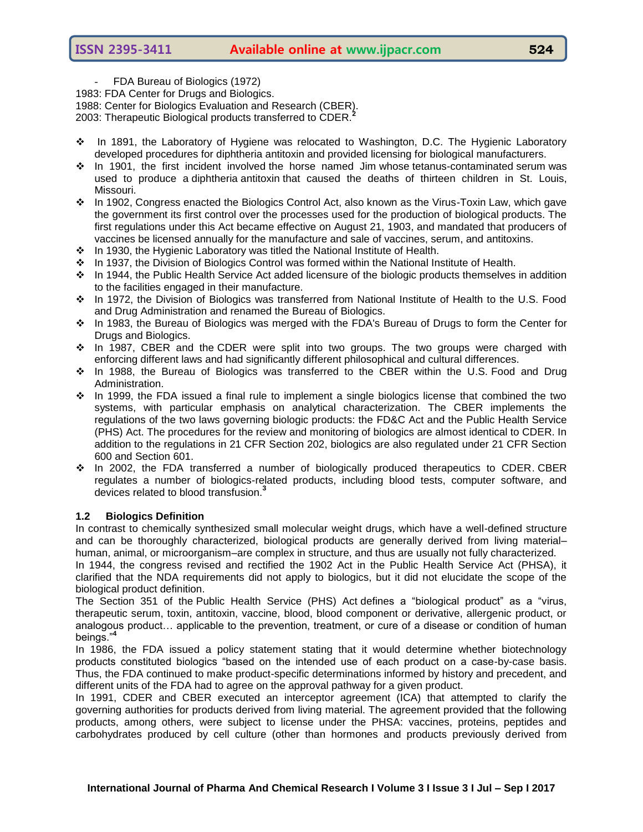FDA Bureau of Biologics (1972)

1983: FDA Center for Drugs and Biologics.

1988: Center for Biologics Evaluation and Research (CBER).

- 2003: Therapeutic Biological products transferred to CDER.**<sup>2</sup>**
- In 1891, the Laboratory of Hygiene was relocated to Washington, D.C. The Hygienic Laboratory developed procedures for diphtheria antitoxin and provided licensing for biological manufacturers.
- $\cdot \cdot$  In 1901, the first incident involved [the horse named Jim](http://en.wikipedia.org/wiki/The_horse_named_Jim) whose [tetanus-](http://en.wikipedia.org/wiki/Clostridium_tetani)contaminated [serum](http://en.wikipedia.org/wiki/Blood_plasma) was used to produce a [diphtheria](http://en.wikipedia.org/wiki/Diphtheria) [antitoxin](http://en.wikipedia.org/wiki/Antitoxin) that caused the deaths of thirteen children in St. Louis, Missouri.
- $\cdot \cdot$  In 1902, Congress enacted the Biologics Control Act, also known as the Virus-Toxin Law, which gave the government its first control over the processes used for the production of biological products. The first regulations under this Act became effective on August 21, 1903, and mandated that producers of vaccines be licensed annually for the manufacture and sale of vaccines, serum, and antitoxins.
- In 1930, the Hygienic Laboratory was titled the [National Institute of Health.](http://en.wikipedia.org/wiki/National_Institutes_of_Health)
- In 1937, the Division of Biologics Control was formed within the National Institute of Health.
- In 1944, the Public Health Service Act added licensure of the biologic products themselves in addition to the facilities engaged in their manufacture.
- In 1972, the Division of Biologics was transferred from National Institute of Health to the U.S. Food and Drug Administration and renamed the Bureau of Biologics.
- \* In 1983, the Bureau of Biologics was merged with the FDA's Bureau of Drugs to form the Center for Drugs and Biologics.
- $\cdot \cdot$  In 1987, CBER and the CDER were split into two groups. The two groups were charged with enforcing different laws and had significantly different philosophical and cultural differences.
- In 1988, the Bureau of Biologics was transferred to the CBER within the U.S. [Food and Drug](http://en.wikipedia.org/wiki/Food_and_Drug_Administration)  [Administration.](http://en.wikipedia.org/wiki/Food_and_Drug_Administration)
- $\cdot \cdot$  In 1999, the FDA issued a final rule to implement a single biologics license that combined the two systems, with particular emphasis on analytical characterization. The CBER implements the regulations of the two laws governing biologic products: the FD&C Act and the Public Health Service (PHS) Act. The procedures for the review and monitoring of biologics are almost identical to CDER. In addition to the regulations in 21 CFR Section 202, biologics are also regulated under 21 CFR Section 600 and Section 601.
- $\div$  In 2002, the FDA transferred a number of biologically produced therapeutics to CDE[R.](http://en.wikipedia.org/wiki/Center_for_Biologics_Evaluation_and_Research#cite_note-Reid-7) CBER regulates a number of biologics-related products, including blood tests, computer software, and devices related to blood transfusion.**<sup>3</sup>**

## **1.2 Biologics Definition**

In contrast to chemically synthesized small molecular weight drugs, which have a well-defined structure and can be thoroughly characterized, biological products are generally derived from living material– human, animal, or microorganism–are complex in structure, and thus are usually not fully characterized.

In 1944, the congress revised and rectified the 1902 Act in the Public Health Service Act (PHSA), it clarified that the NDA requirements did not apply to biologics, but it did not elucidate the scope of the biological product definition.

The Section 351 of the Public Health Service (PHS) Act defines a "biological product" as a "virus, therapeutic serum, toxin, antitoxin, vaccine, blood, blood component or derivative, allergenic product, or analogous product… applicable to the prevention, treatment, or cure of a disease or condition of human beings."**<sup>4</sup>**

In 1986, the FDA issued a policy statement stating that it would determine whether biotechnology products constituted biologics "based on the intended use of each product on a case-by-case basis. Thus, the FDA continued to make product-specific determinations informed by history and precedent, and different units of the FDA had to agree on the approval pathway for a given product.

In 1991, CDER and CBER executed an interceptor agreement (ICA) that attempted to clarify the governing authorities for products derived from living material. The agreement provided that the following products, among others, were subject to license under the PHSA: vaccines, proteins, peptides and carbohydrates produced by cell culture (other than hormones and products previously derived from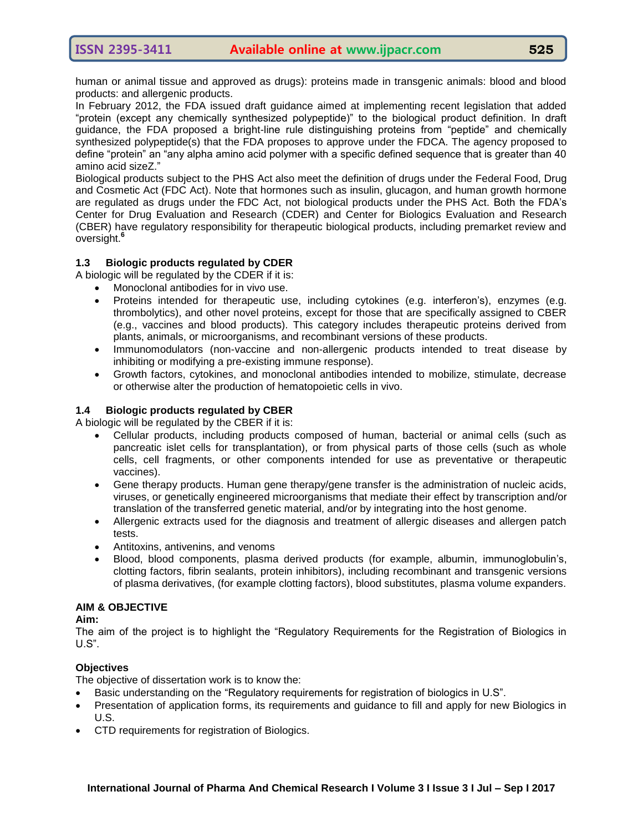human or animal tissue and approved as drugs): proteins made in transgenic animals: blood and blood products: and allergenic products.

In February 2012, the FDA issued draft guidance aimed at implementing recent legislation that added "protein (except any chemically synthesized polypeptide)" to the biological product definition. In draft guidance, the FDA proposed a bright-line rule distinguishing proteins from "peptide" and chemically synthesized polypeptide(s) that the FDA proposes to approve under the FDCA. The agency proposed to define "protein" an "any alpha amino acid polymer with a specific defined sequence that is greater than 40 amino acid sizeZ."

Biological products subject to the PHS Act also meet the definition of drugs under the Federal Food, Drug and Cosmetic Act (FDC Act). Note that hormones such as insulin, glucagon, and human growth hormone are regulated as drugs under the FDC Act, not biological products under the PHS Act. Both the FDA"s Center for Drug Evaluation and Research (CDER) and Center for Biologics Evaluation and Research (CBER) have regulatory responsibility for therapeutic biological products, including premarket review and oversight.**<sup>6</sup>**

## **1.3 Biologic products regulated by CDER**

A biologic will be regulated by the CDER if it is:

- Monoclonal antibodies for in vivo use.
- Proteins intended for therapeutic use, including cytokines (e.g. interferon"s), enzymes (e.g. thrombolytics), and other novel proteins, except for those that are specifically assigned to CBER (e.g., vaccines and blood products). This category includes therapeutic proteins derived from plants, animals, or microorganisms, and recombinant versions of these products.
- Immunomodulators (non-vaccine and non-allergenic products intended to treat disease by inhibiting or modifying a pre-existing immune response).
- Growth factors, cytokines, and monoclonal antibodies intended to mobilize, stimulate, decrease or otherwise alter the production of hematopoietic cells in vivo.

## **1.4 Biologic products regulated by CBER**

A biologic will be regulated by the CBER if it is:

- Cellular products, including products composed of human, bacterial or animal cells (such as pancreatic islet cells for transplantation), or from physical parts of those cells (such as whole cells, cell fragments, or other components intended for use as preventative or therapeutic vaccines).
- Gene therapy products. Human gene therapy/gene transfer is the administration of nucleic acids, viruses, or genetically engineered microorganisms that mediate their effect by transcription and/or translation of the transferred genetic material, and/or by integrating into the host genome.
- Allergenic extracts used for the diagnosis and treatment of allergic diseases and allergen patch tests.
- Antitoxins, antivenins, and venoms
- Blood, blood components, plasma derived products (for example, albumin, immunoglobulin"s, clotting factors, fibrin sealants, protein inhibitors), including recombinant and transgenic versions of plasma derivatives, (for example clotting factors), blood substitutes, plasma volume expanders.

## **AIM & OBJECTIVE**

## **Aim:**

The aim of the project is to highlight the "Regulatory Requirements for the Registration of Biologics in U.S".

## **Objectives**

The objective of dissertation work is to know the:

- Basic understanding on the "Regulatory requirements for registration of biologics in U.S".
- Presentation of application forms, its requirements and guidance to fill and apply for new Biologics in U.S.
- CTD requirements for registration of Biologics.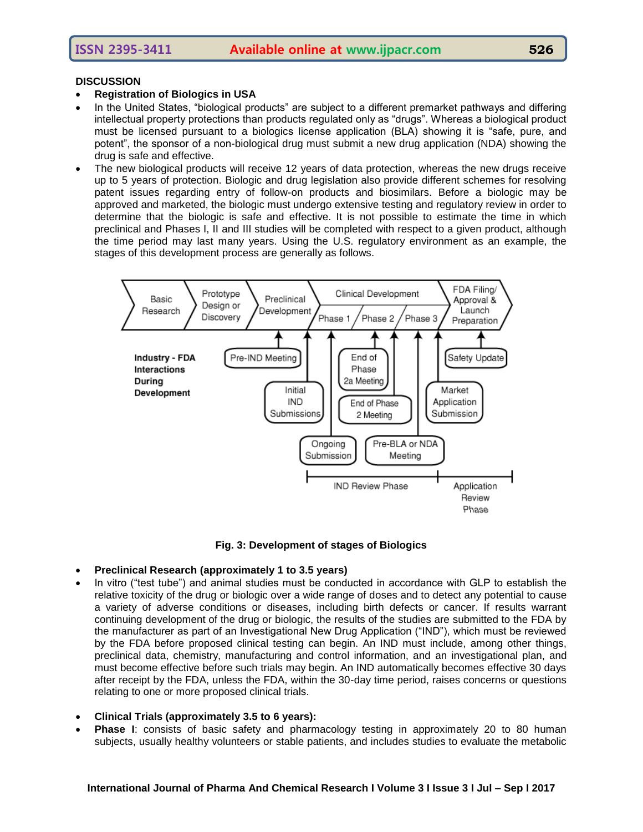## **DISCUSSION**

- **Registration of Biologics in USA**
- In the United States, "biological products" are subject to a different premarket pathways and differing intellectual property protections than products regulated only as "drugs". Whereas a biological product must be licensed pursuant to a biologics license application (BLA) showing it is "safe, pure, and potent", the sponsor of a non-biological drug must submit a new drug application (NDA) showing the drug is safe and effective.
- The new biological products will receive 12 years of data protection, whereas the new drugs receive up to 5 years of protection. Biologic and drug legislation also provide different schemes for resolving patent issues regarding entry of follow-on products and biosimilars. Before a biologic may be approved and marketed, the biologic must undergo extensive testing and regulatory review in order to determine that the biologic is safe and effective. It is not possible to estimate the time in which preclinical and Phases I, II and III studies will be completed with respect to a given product, although the time period may last many years. Using the U.S. regulatory environment as an example, the stages of this development process are generally as follows.



**Fig. 3: Development of stages of Biologics**

- **Preclinical Research (approximately 1 to 3.5 years)**
- In vitro ("test tube") and animal studies must be conducted in accordance with GLP to establish the relative toxicity of the drug or biologic over a wide range of doses and to detect any potential to cause a variety of adverse conditions or diseases, including birth defects or cancer. If results warrant continuing development of the drug or biologic, the results of the studies are submitted to the FDA by the manufacturer as part of an Investigational New Drug Application ("IND"), which must be reviewed by the FDA before proposed clinical testing can begin. An IND must include, among other things, preclinical data, chemistry, manufacturing and control information, and an investigational plan, and must become effective before such trials may begin. An IND automatically becomes effective 30 days after receipt by the FDA, unless the FDA, within the 30-day time period, raises concerns or questions relating to one or more proposed clinical trials.
- **Clinical Trials (approximately 3.5 to 6 years):**
- **Phase I**: consists of basic safety and pharmacology testing in approximately 20 to 80 human subjects, usually healthy volunteers or stable patients, and includes studies to evaluate the metabolic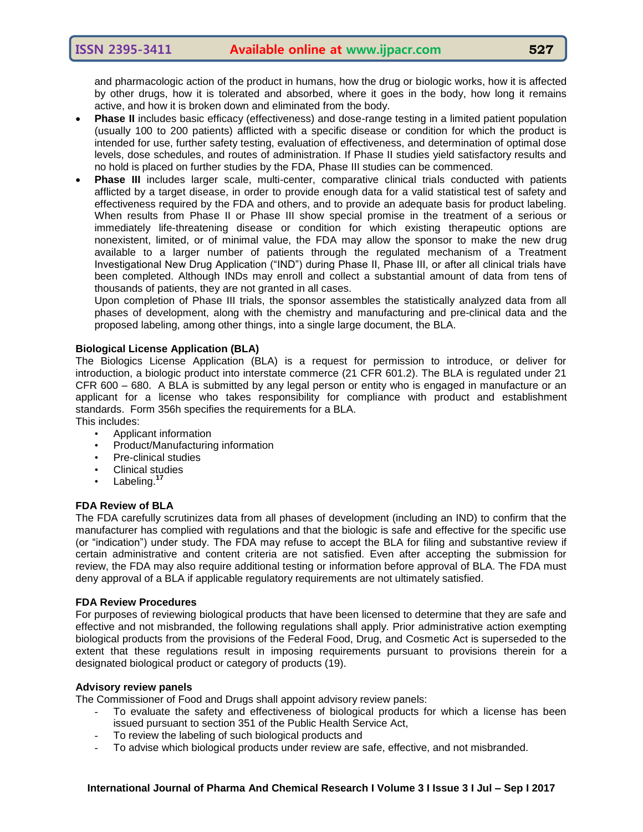and pharmacologic action of the product in humans, how the drug or biologic works, how it is affected by other drugs, how it is tolerated and absorbed, where it goes in the body, how long it remains active, and how it is broken down and eliminated from the body.

- **Phase II** includes basic efficacy (effectiveness) and dose-range testing in a limited patient population (usually 100 to 200 patients) afflicted with a specific disease or condition for which the product is intended for use, further safety testing, evaluation of effectiveness, and determination of optimal dose levels, dose schedules, and routes of administration. If Phase II studies yield satisfactory results and no hold is placed on further studies by the FDA, Phase III studies can be commenced.
- **Phase III** includes larger scale, multi-center, comparative clinical trials conducted with patients afflicted by a target disease, in order to provide enough data for a valid statistical test of safety and effectiveness required by the FDA and others, and to provide an adequate basis for product labeling. When results from Phase II or Phase III show special promise in the treatment of a serious or immediately life-threatening disease or condition for which existing therapeutic options are nonexistent, limited, or of minimal value, the FDA may allow the sponsor to make the new drug available to a larger number of patients through the regulated mechanism of a Treatment Investigational New Drug Application ("IND") during Phase II, Phase III, or after all clinical trials have been completed. Although INDs may enroll and collect a substantial amount of data from tens of thousands of patients, they are not granted in all cases.

Upon completion of Phase III trials, the sponsor assembles the statistically analyzed data from all phases of development, along with the chemistry and manufacturing and pre-clinical data and the proposed labeling, among other things, into a single large document, the BLA.

## **Biological License Application (BLA)**

The Biologics License Application (BLA) is a request for permission to introduce, or deliver for introduction, a biologic product into interstate commerce (21 CFR 601.2). The BLA is regulated under 21 CFR 600 – 680. A BLA is submitted by any legal person or entity who is engaged in manufacture or an applicant for a license who takes responsibility for compliance with product and establishment standards. Form 356h specifies the requirements for a BLA. This includes:

- Applicant information
- Product/Manufacturing information
- Pre-clinical studies
- Clinical studies
- Labeling.**<sup>17</sup>**

## **FDA Review of BLA**

The FDA carefully scrutinizes data from all phases of development (including an IND) to confirm that the manufacturer has complied with regulations and that the biologic is safe and effective for the specific use (or "indication") under study. The FDA may refuse to accept the BLA for filing and substantive review if certain administrative and content criteria are not satisfied. Even after accepting the submission for review, the FDA may also require additional testing or information before approval of BLA. The FDA must deny approval of a BLA if applicable regulatory requirements are not ultimately satisfied.

## **FDA Review Procedures**

For purposes of reviewing biological products that have been licensed to determine that they are safe and effective and not misbranded, the following regulations shall apply. Prior administrative action exempting biological products from the provisions of the Federal Food, Drug, and Cosmetic Act is superseded to the extent that these regulations result in imposing requirements pursuant to provisions therein for a designated biological product or category of products (19).

## **Advisory review panels**

The Commissioner of Food and Drugs shall appoint advisory review panels:

- To evaluate the safety and effectiveness of biological products for which a license has been issued pursuant to section 351 of the Public Health Service Act,
- To review the labeling of such biological products and
- To advise which biological products under review are safe, effective, and not misbranded.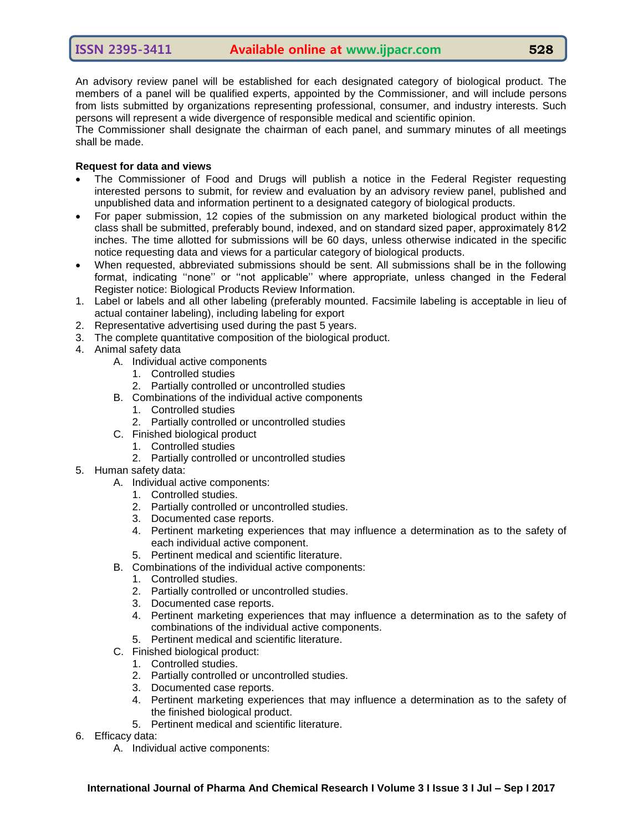An advisory review panel will be established for each designated category of biological product. The members of a panel will be qualified experts, appointed by the Commissioner, and will include persons from lists submitted by organizations representing professional, consumer, and industry interests. Such persons will represent a wide divergence of responsible medical and scientific opinion.

The Commissioner shall designate the chairman of each panel, and summary minutes of all meetings shall be made.

## **Request for data and views**

- The Commissioner of Food and Drugs will publish a notice in the Federal Register requesting interested persons to submit, for review and evaluation by an advisory review panel, published and unpublished data and information pertinent to a designated category of biological products.
- For paper submission, 12 copies of the submission on any marketed biological product within the class shall be submitted, preferably bound, indexed, and on standard sized paper, approximately 81⁄2 inches. The time allotted for submissions will be 60 days, unless otherwise indicated in the specific notice requesting data and views for a particular category of biological products.
- When requested, abbreviated submissions should be sent. All submissions shall be in the following format, indicating "none" or "not applicable" where appropriate, unless changed in the Federal Register notice: Biological Products Review Information.
- 1. Label or labels and all other labeling (preferably mounted. Facsimile labeling is acceptable in lieu of actual container labeling), including labeling for export
- 2. Representative advertising used during the past 5 years.
- 3. The complete quantitative composition of the biological product.
- 4. Animal safety data
	- A. Individual active components
		- 1. Controlled studies
		- 2. Partially controlled or uncontrolled studies
	- B. Combinations of the individual active components
		- 1. Controlled studies
		- 2. Partially controlled or uncontrolled studies
	- C. Finished biological product
		- 1. Controlled studies
		- 2. Partially controlled or uncontrolled studies
- 5. Human safety data:
	- A. Individual active components:
		- 1. Controlled studies.
		- 2. Partially controlled or uncontrolled studies.
		- 3. Documented case reports.
		- 4. Pertinent marketing experiences that may influence a determination as to the safety of each individual active component.
		- 5. Pertinent medical and scientific literature.
	- B. Combinations of the individual active components:
		- 1. Controlled studies.
		- 2. Partially controlled or uncontrolled studies.
		- 3. Documented case reports.
		- 4. Pertinent marketing experiences that may influence a determination as to the safety of combinations of the individual active components.
		- 5. Pertinent medical and scientific literature.
	- C. Finished biological product:
		- 1. Controlled studies.
		- 2. Partially controlled or uncontrolled studies.
		- 3. Documented case reports.
		- 4. Pertinent marketing experiences that may influence a determination as to the safety of the finished biological product.
		- 5. Pertinent medical and scientific literature.
- 6. Efficacy data:
	- A. Individual active components: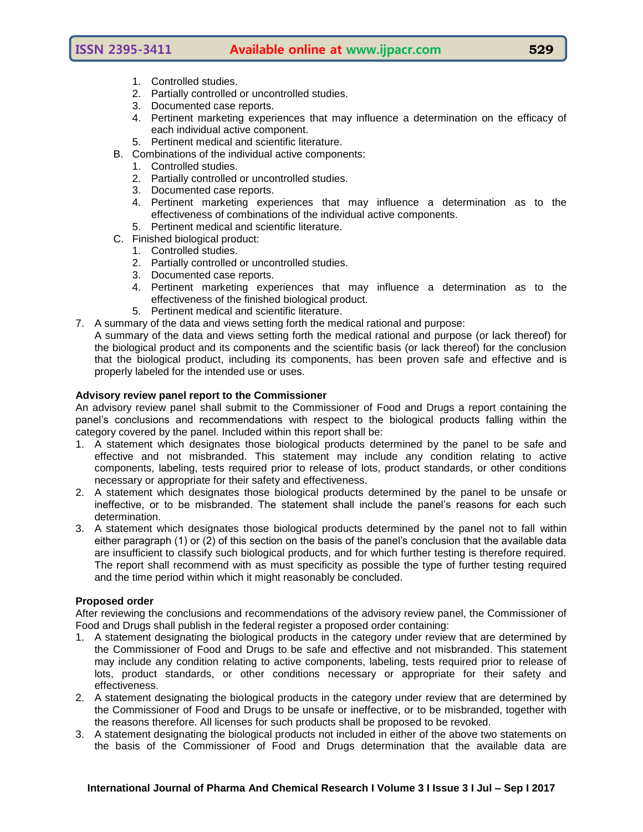- 1. Controlled studies.
- 2. Partially controlled or uncontrolled studies.
- 3. Documented case reports.
- 4. Pertinent marketing experiences that may influence a determination on the efficacy of each individual active component.
- 5. Pertinent medical and scientific literature.
- B. Combinations of the individual active components:
	- 1. Controlled studies.
		- 2. Partially controlled or uncontrolled studies.
		- 3. Documented case reports.
		- 4. Pertinent marketing experiences that may influence a determination as to the effectiveness of combinations of the individual active components.
	- 5. Pertinent medical and scientific literature.
- C. Finished biological product:
	- 1. Controlled studies.
	- 2. Partially controlled or uncontrolled studies.
	- 3. Documented case reports.
	- 4. Pertinent marketing experiences that may influence a determination as to the effectiveness of the finished biological product.
	- 5. Pertinent medical and scientific literature.
- 7. A summary of the data and views setting forth the medical rational and purpose:
- A summary of the data and views setting forth the medical rational and purpose (or lack thereof) for the biological product and its components and the scientific basis (or lack thereof) for the conclusion that the biological product, including its components, has been proven safe and effective and is properly labeled for the intended use or uses.

## **Advisory review panel report to the Commissioner**

An advisory review panel shall submit to the Commissioner of Food and Drugs a report containing the panel"s conclusions and recommendations with respect to the biological products falling within the category covered by the panel. Included within this report shall be:

- 1. A statement which designates those biological products determined by the panel to be safe and effective and not misbranded. This statement may include any condition relating to active components, labeling, tests required prior to release of lots, product standards, or other conditions necessary or appropriate for their safety and effectiveness.
- 2. A statement which designates those biological products determined by the panel to be unsafe or ineffective, or to be misbranded. The statement shall include the panel"s reasons for each such determination.
- 3. A statement which designates those biological products determined by the panel not to fall within either paragraph (1) or (2) of this section on the basis of the panel"s conclusion that the available data are insufficient to classify such biological products, and for which further testing is therefore required. The report shall recommend with as must specificity as possible the type of further testing required and the time period within which it might reasonably be concluded.

## **Proposed order**

After reviewing the conclusions and recommendations of the advisory review panel, the Commissioner of Food and Drugs shall publish in the federal register a proposed order containing:

- 1. A statement designating the biological products in the category under review that are determined by the Commissioner of Food and Drugs to be safe and effective and not misbranded. This statement may include any condition relating to active components, labeling, tests required prior to release of lots, product standards, or other conditions necessary or appropriate for their safety and effectiveness.
- 2. A statement designating the biological products in the category under review that are determined by the Commissioner of Food and Drugs to be unsafe or ineffective, or to be misbranded, together with the reasons therefore. All licenses for such products shall be proposed to be revoked.
- 3. A statement designating the biological products not included in either of the above two statements on the basis of the Commissioner of Food and Drugs determination that the available data are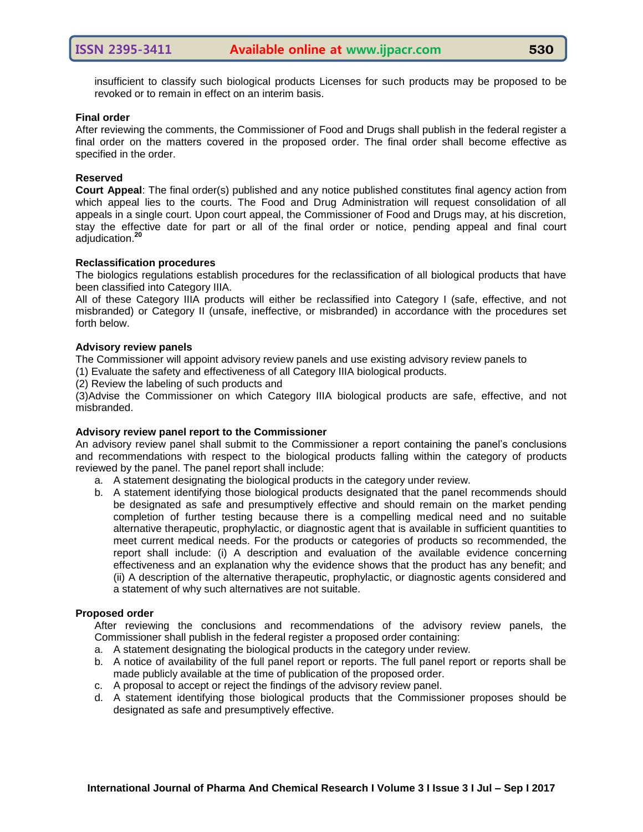insufficient to classify such biological products Licenses for such products may be proposed to be revoked or to remain in effect on an interim basis.

#### **Final order**

After reviewing the comments, the Commissioner of Food and Drugs shall publish in the federal register a final order on the matters covered in the proposed order. The final order shall become effective as specified in the order.

### **Reserved**

**Court Appeal**: The final order(s) published and any notice published constitutes final agency action from which appeal lies to the courts. The Food and Drug Administration will request consolidation of all appeals in a single court. Upon court appeal, the Commissioner of Food and Drugs may, at his discretion, stay the effective date for part or all of the final order or notice, pending appeal and final court adjudication.**<sup>20</sup>**

#### **Reclassification procedures**

The biologics regulations establish procedures for the reclassification of all biological products that have been classified into Category IIIA.

All of these Category IIIA products will either be reclassified into Category I (safe, effective, and not misbranded) or Category II (unsafe, ineffective, or misbranded) in accordance with the procedures set forth below.

#### **Advisory review panels**

The Commissioner will appoint advisory review panels and use existing advisory review panels to

(1) Evaluate the safety and effectiveness of all Category IIIA biological products.

(2) Review the labeling of such products and

(3)Advise the Commissioner on which Category IIIA biological products are safe, effective, and not misbranded.

## **Advisory review panel report to the Commissioner**

An advisory review panel shall submit to the Commissioner a report containing the panel"s conclusions and recommendations with respect to the biological products falling within the category of products reviewed by the panel. The panel report shall include:

a. A statement designating the biological products in the category under review.

b. A statement identifying those biological products designated that the panel recommends should be designated as safe and presumptively effective and should remain on the market pending completion of further testing because there is a compelling medical need and no suitable alternative therapeutic, prophylactic, or diagnostic agent that is available in sufficient quantities to meet current medical needs. For the products or categories of products so recommended, the report shall include: (i) A description and evaluation of the available evidence concerning effectiveness and an explanation why the evidence shows that the product has any benefit; and (ii) A description of the alternative therapeutic, prophylactic, or diagnostic agents considered and a statement of why such alternatives are not suitable.

## **Proposed order**

After reviewing the conclusions and recommendations of the advisory review panels, the Commissioner shall publish in the federal register a proposed order containing:

- a. A statement designating the biological products in the category under review.
- b. A notice of availability of the full panel report or reports. The full panel report or reports shall be made publicly available at the time of publication of the proposed order.
- c. A proposal to accept or reject the findings of the advisory review panel.
- d. A statement identifying those biological products that the Commissioner proposes should be designated as safe and presumptively effective.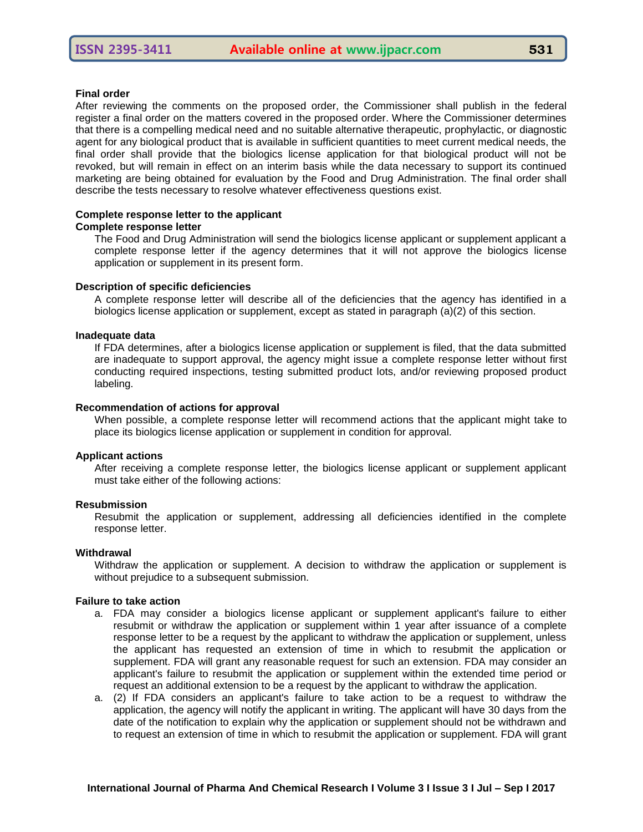#### **Final order**

After reviewing the comments on the proposed order, the Commissioner shall publish in the federal register a final order on the matters covered in the proposed order. Where the Commissioner determines that there is a compelling medical need and no suitable alternative therapeutic, prophylactic, or diagnostic agent for any biological product that is available in sufficient quantities to meet current medical needs, the final order shall provide that the biologics license application for that biological product will not be revoked, but will remain in effect on an interim basis while the data necessary to support its continued marketing are being obtained for evaluation by the Food and Drug Administration. The final order shall describe the tests necessary to resolve whatever effectiveness questions exist.

#### **Complete response letter to the applicant Complete response letter**

The Food and Drug Administration will send the biologics license applicant or supplement applicant a complete response letter if the agency determines that it will not approve the biologics license application or supplement in its present form.

#### **Description of specific deficiencies**

A complete response letter will describe all of the deficiencies that the agency has identified in a biologics license application or supplement, except as stated in paragraph (a)(2) of this section.

#### **Inadequate data**

If FDA determines, after a biologics license application or supplement is filed, that the data submitted are inadequate to support approval, the agency might issue a complete response letter without first conducting required inspections, testing submitted product lots, and/or reviewing proposed product labeling.

#### **Recommendation of actions for approval**

When possible, a complete response letter will recommend actions that the applicant might take to place its biologics license application or supplement in condition for approval.

#### **Applicant actions**

After receiving a complete response letter, the biologics license applicant or supplement applicant must take either of the following actions:

#### **Resubmission**

Resubmit the application or supplement, addressing all deficiencies identified in the complete response letter.

#### **Withdrawal**

Withdraw the application or supplement. A decision to withdraw the application or supplement is without prejudice to a subsequent submission.

#### **Failure to take action**

- a. FDA may consider a biologics license applicant or supplement applicant's failure to either resubmit or withdraw the application or supplement within 1 year after issuance of a complete response letter to be a request by the applicant to withdraw the application or supplement, unless the applicant has requested an extension of time in which to resubmit the application or supplement. FDA will grant any reasonable request for such an extension. FDA may consider an applicant's failure to resubmit the application or supplement within the extended time period or request an additional extension to be a request by the applicant to withdraw the application.
- a. (2) If FDA considers an applicant's failure to take action to be a request to withdraw the application, the agency will notify the applicant in writing. The applicant will have 30 days from the date of the notification to explain why the application or supplement should not be withdrawn and to request an extension of time in which to resubmit the application or supplement. FDA will grant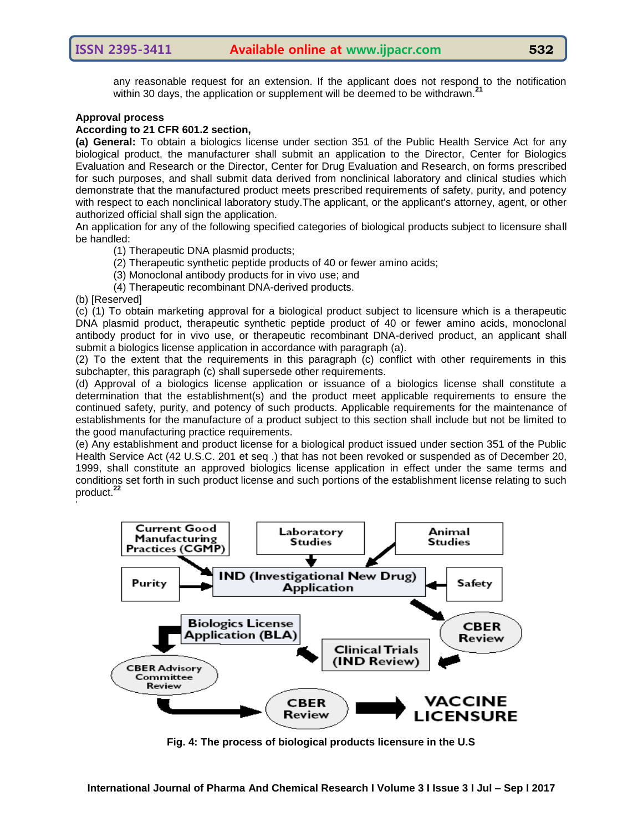any reasonable request for an extension. If the applicant does not respond to the notification within 30 days, the application or supplement will be deemed to be withdrawn.**<sup>21</sup>**

## **Approval process**

#### **According to 21 CFR 601.2 section,**

**(a) General:** To obtain a biologics license under section 351 of the Public Health Service Act for any biological product, the manufacturer shall submit an application to the Director, Center for Biologics Evaluation and Research or the Director, Center for Drug Evaluation and Research, on forms prescribed for such purposes, and shall submit data derived from nonclinical laboratory and clinical studies which demonstrate that the manufactured product meets prescribed requirements of safety, purity, and potency with respect to each nonclinical laboratory study.The applicant, or the applicant's attorney, agent, or other authorized official shall sign the application.

An application for any of the following specified categories of biological products subject to licensure shall be handled:

- (1) Therapeutic DNA plasmid products;
- (2) Therapeutic synthetic peptide products of 40 or fewer amino acids;
- (3) Monoclonal antibody products for in vivo use; and
- (4) Therapeutic recombinant DNA-derived products.

(b) [Reserved]

(c) (1) To obtain marketing approval for a biological product subject to licensure which is a therapeutic DNA plasmid product, therapeutic synthetic peptide product of 40 or fewer amino acids, monoclonal antibody product for in vivo use, or therapeutic recombinant DNA-derived product, an applicant shall submit a biologics license application in accordance with paragraph (a).

(2) To the extent that the requirements in this paragraph (c) conflict with other requirements in this subchapter, this paragraph (c) shall supersede other requirements.

(d) Approval of a biologics license application or issuance of a biologics license shall constitute a determination that the establishment(s) and the product meet applicable requirements to ensure the continued safety, purity, and potency of such products. Applicable requirements for the maintenance of establishments for the manufacture of a product subject to this section shall include but not be limited to the good manufacturing practice requirements.

(e) Any establishment and product license for a biological product issued under section 351 of the Public Health Service Act (42 U.S.C. 201 et seq .) that has not been revoked or suspended as of December 20, 1999, shall constitute an approved biologics license application in effect under the same terms and conditions set forth in such product license and such portions of the establishment license relating to such product.**<sup>22</sup> .**



**Fig. 4: The process of biological products licensure in the U.S**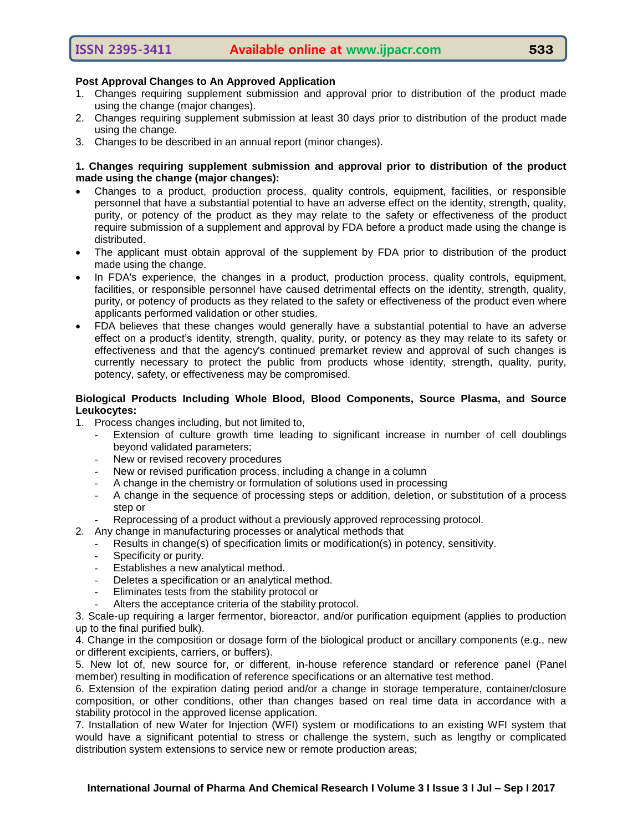## **Post Approval Changes to An Approved Application**

- 1. Changes requiring supplement submission and approval prior to distribution of the product made using the change (major changes).
- 2. Changes requiring supplement submission at least 30 days prior to distribution of the product made using the change.
- 3. Changes to be described in an annual report (minor changes).

## **1. Changes requiring supplement submission and approval prior to distribution of the product made using the change (major changes):**

- Changes to a product, production process, quality controls, equipment, facilities, or responsible personnel that have a substantial potential to have an adverse effect on the identity, strength, quality, purity, or potency of the product as they may relate to the safety or effectiveness of the product require submission of a supplement and approval by FDA before a product made using the change is distributed.
- The applicant must obtain approval of the supplement by FDA prior to distribution of the product made using the change.
- In FDA's experience, the changes in a product, production process, quality controls, equipment, facilities, or responsible personnel have caused detrimental effects on the identity, strength, quality, purity, or potency of products as they related to the safety or effectiveness of the product even where applicants performed validation or other studies.
- FDA believes that these changes would generally have a substantial potential to have an adverse effect on a product's identity, strength, quality, purity, or potency as they may relate to its safety or effectiveness and that the agency's continued premarket review and approval of such changes is currently necessary to protect the public from products whose identity, strength, quality, purity, potency, safety, or effectiveness may be compromised.

## **Biological Products Including Whole Blood, Blood Components, Source Plasma, and Source Leukocytes:**

- 1. Process changes including, but not limited to,
	- Extension of culture growth time leading to significant increase in number of cell doublings beyond validated parameters;
	- New or revised recovery procedures
	- New or revised purification process, including a change in a column
	- A change in the chemistry or formulation of solutions used in processing
	- A change in the sequence of processing steps or addition, deletion, or substitution of a process step or
	- Reprocessing of a product without a previously approved reprocessing protocol.
- 2. Any change in manufacturing processes or analytical methods that
	- Results in change(s) of specification limits or modification(s) in potency, sensitivity.
	- Specificity or purity.
	- Establishes a new analytical method.
	- Deletes a specification or an analytical method.
	- Eliminates tests from the stability protocol or
	- Alters the acceptance criteria of the stability protocol.

3. Scale-up requiring a larger fermentor, bioreactor, and/or purification equipment (applies to production up to the final purified bulk).

4. Change in the composition or dosage form of the biological product or ancillary components (e.g., new or different excipients, carriers, or buffers).

5. New lot of, new source for, or different, in-house reference standard or reference panel (Panel member) resulting in modification of reference specifications or an alternative test method.

6. Extension of the expiration dating period and/or a change in storage temperature, container/closure composition, or other conditions, other than changes based on real time data in accordance with a stability protocol in the approved license application.

7. Installation of new Water for Injection (WFI) system or modifications to an existing WFI system that would have a significant potential to stress or challenge the system, such as lengthy or complicated distribution system extensions to service new or remote production areas;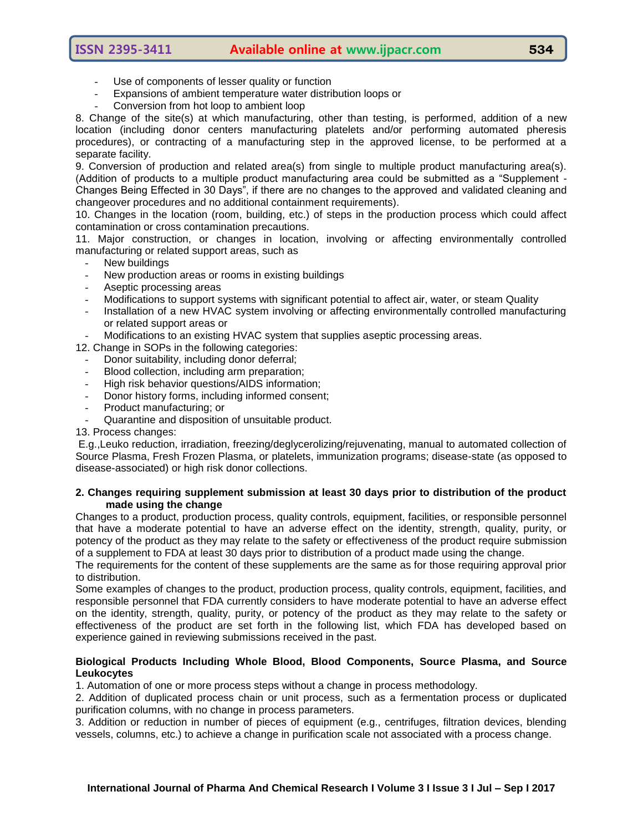- Use of components of lesser quality or function
- Expansions of ambient temperature water distribution loops or
- Conversion from hot loop to ambient loop

8. Change of the site(s) at which manufacturing, other than testing, is performed, addition of a new location (including donor centers manufacturing platelets and/or performing automated pheresis procedures), or contracting of a manufacturing step in the approved license, to be performed at a separate facility.

9. Conversion of production and related area(s) from single to multiple product manufacturing area(s). (Addition of products to a multiple product manufacturing area could be submitted as a "Supplement - Changes Being Effected in 30 Days", if there are no changes to the approved and validated cleaning and changeover procedures and no additional containment requirements).

10. Changes in the location (room, building, etc.) of steps in the production process which could affect contamination or cross contamination precautions.

11. Major construction, or changes in location, involving or affecting environmentally controlled manufacturing or related support areas, such as

- New buildings
- New production areas or rooms in existing buildings
- Aseptic processing areas
- Modifications to support systems with significant potential to affect air, water, or steam Quality
- Installation of a new HVAC system involving or affecting environmentally controlled manufacturing or related support areas or
- Modifications to an existing HVAC system that supplies aseptic processing areas.

12. Change in SOPs in the following categories:

- Donor suitability, including donor deferral;
- Blood collection, including arm preparation;
- High risk behavior questions/AIDS information;
- Donor history forms, including informed consent;
- Product manufacturing; or
- Quarantine and disposition of unsuitable product.

## 13. Process changes:

E.g.,Leuko reduction, irradiation, freezing/deglycerolizing/rejuvenating, manual to automated collection of Source Plasma, Fresh Frozen Plasma, or platelets, immunization programs; disease-state (as opposed to disease-associated) or high risk donor collections.

#### **2. Changes requiring supplement submission at least 30 days prior to distribution of the product made using the change**

Changes to a product, production process, quality controls, equipment, facilities, or responsible personnel that have a moderate potential to have an adverse effect on the identity, strength, quality, purity, or potency of the product as they may relate to the safety or effectiveness of the product require submission of a supplement to FDA at least 30 days prior to distribution of a product made using the change.

The requirements for the content of these supplements are the same as for those requiring approval prior to distribution.

Some examples of changes to the product, production process, quality controls, equipment, facilities, and responsible personnel that FDA currently considers to have moderate potential to have an adverse effect on the identity, strength, quality, purity, or potency of the product as they may relate to the safety or effectiveness of the product are set forth in the following list, which FDA has developed based on experience gained in reviewing submissions received in the past.

## **Biological Products Including Whole Blood, Blood Components, Source Plasma, and Source Leukocytes**

1. Automation of one or more process steps without a change in process methodology.

2. Addition of duplicated process chain or unit process, such as a fermentation process or duplicated purification columns, with no change in process parameters.

3. Addition or reduction in number of pieces of equipment (e.g., centrifuges, filtration devices, blending vessels, columns, etc.) to achieve a change in purification scale not associated with a process change.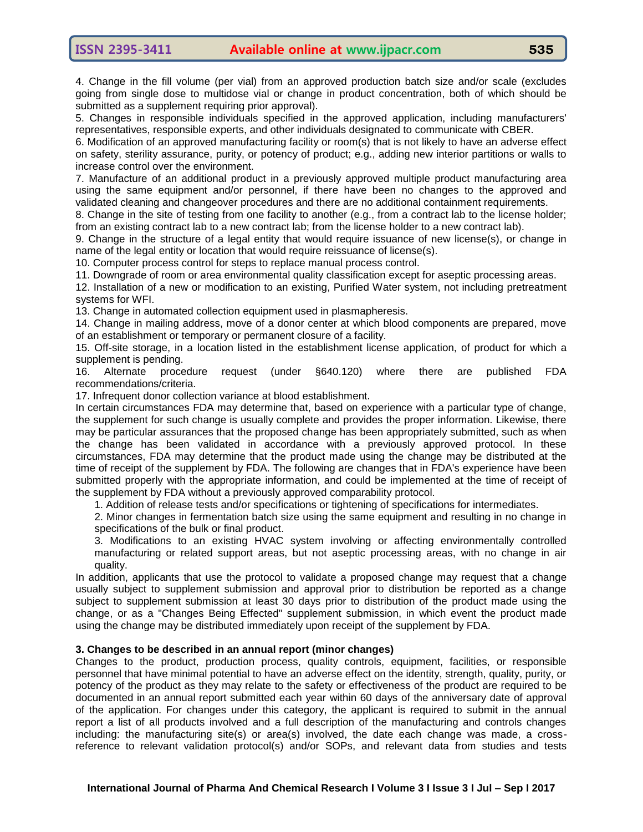4. Change in the fill volume (per vial) from an approved production batch size and/or scale (excludes going from single dose to multidose vial or change in product concentration, both of which should be submitted as a supplement requiring prior approval).

5. Changes in responsible individuals specified in the approved application, including manufacturers' representatives, responsible experts, and other individuals designated to communicate with CBER.

6. Modification of an approved manufacturing facility or room(s) that is not likely to have an adverse effect on safety, sterility assurance, purity, or potency of product; e.g., adding new interior partitions or walls to increase control over the environment.

7. Manufacture of an additional product in a previously approved multiple product manufacturing area using the same equipment and/or personnel, if there have been no changes to the approved and validated cleaning and changeover procedures and there are no additional containment requirements.

8. Change in the site of testing from one facility to another (e.g., from a contract lab to the license holder; from an existing contract lab to a new contract lab; from the license holder to a new contract lab).

9. Change in the structure of a legal entity that would require issuance of new license(s), or change in name of the legal entity or location that would require reissuance of license(s).

10. Computer process control for steps to replace manual process control.

11. Downgrade of room or area environmental quality classification except for aseptic processing areas.

12. Installation of a new or modification to an existing, Purified Water system, not including pretreatment systems for WFI.

13. Change in automated collection equipment used in plasmapheresis.

14. Change in mailing address, move of a donor center at which blood components are prepared, move of an establishment or temporary or permanent closure of a facility.

15. Off-site storage, in a location listed in the establishment license application, of product for which a supplement is pending.

16. Alternate procedure request (under §640.120) where there are published FDA recommendations/criteria.

17. Infrequent donor collection variance at blood establishment.

In certain circumstances FDA may determine that, based on experience with a particular type of change, the supplement for such change is usually complete and provides the proper information. Likewise, there may be particular assurances that the proposed change has been appropriately submitted, such as when the change has been validated in accordance with a previously approved protocol. In these circumstances, FDA may determine that the product made using the change may be distributed at the time of receipt of the supplement by FDA. The following are changes that in FDA's experience have been submitted properly with the appropriate information, and could be implemented at the time of receipt of the supplement by FDA without a previously approved comparability protocol.

1. Addition of release tests and/or specifications or tightening of specifications for intermediates.

2. Minor changes in fermentation batch size using the same equipment and resulting in no change in specifications of the bulk or final product.

3. Modifications to an existing HVAC system involving or affecting environmentally controlled manufacturing or related support areas, but not aseptic processing areas, with no change in air quality.

In addition, applicants that use the protocol to validate a proposed change may request that a change usually subject to supplement submission and approval prior to distribution be reported as a change subject to supplement submission at least 30 days prior to distribution of the product made using the change, or as a "Changes Being Effected" supplement submission, in which event the product made using the change may be distributed immediately upon receipt of the supplement by FDA.

## **3. Changes to be described in an annual report (minor changes)**

Changes to the product, production process, quality controls, equipment, facilities, or responsible personnel that have minimal potential to have an adverse effect on the identity, strength, quality, purity, or potency of the product as they may relate to the safety or effectiveness of the product are required to be documented in an annual report submitted each year within 60 days of the anniversary date of approval of the application. For changes under this category, the applicant is required to submit in the annual report a list of all products involved and a full description of the manufacturing and controls changes including: the manufacturing site(s) or area(s) involved, the date each change was made, a crossreference to relevant validation protocol(s) and/or SOPs, and relevant data from studies and tests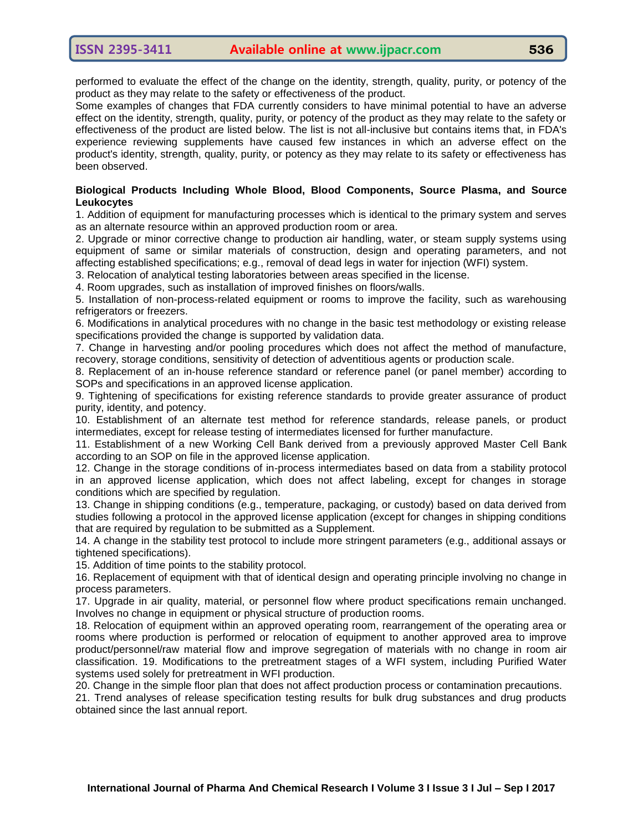performed to evaluate the effect of the change on the identity, strength, quality, purity, or potency of the product as they may relate to the safety or effectiveness of the product.

Some examples of changes that FDA currently considers to have minimal potential to have an adverse effect on the identity, strength, quality, purity, or potency of the product as they may relate to the safety or effectiveness of the product are listed below. The list is not all-inclusive but contains items that, in FDA's experience reviewing supplements have caused few instances in which an adverse effect on the product's identity, strength, quality, purity, or potency as they may relate to its safety or effectiveness has been observed.

## **Biological Products Including Whole Blood, Blood Components, Source Plasma, and Source Leukocytes**

1. Addition of equipment for manufacturing processes which is identical to the primary system and serves as an alternate resource within an approved production room or area.

2. Upgrade or minor corrective change to production air handling, water, or steam supply systems using equipment of same or similar materials of construction, design and operating parameters, and not affecting established specifications; e.g., removal of dead legs in water for injection (WFI) system.

3. Relocation of analytical testing laboratories between areas specified in the license.

4. Room upgrades, such as installation of improved finishes on floors/walls.

5. Installation of non-process-related equipment or rooms to improve the facility, such as warehousing refrigerators or freezers.

6. Modifications in analytical procedures with no change in the basic test methodology or existing release specifications provided the change is supported by validation data.

7. Change in harvesting and/or pooling procedures which does not affect the method of manufacture, recovery, storage conditions, sensitivity of detection of adventitious agents or production scale.

8. Replacement of an in-house reference standard or reference panel (or panel member) according to SOPs and specifications in an approved license application.

9. Tightening of specifications for existing reference standards to provide greater assurance of product purity, identity, and potency.

10. Establishment of an alternate test method for reference standards, release panels, or product intermediates, except for release testing of intermediates licensed for further manufacture.

11. Establishment of a new Working Cell Bank derived from a previously approved Master Cell Bank according to an SOP on file in the approved license application.

12. Change in the storage conditions of in-process intermediates based on data from a stability protocol in an approved license application, which does not affect labeling, except for changes in storage conditions which are specified by regulation.

13. Change in shipping conditions (e.g., temperature, packaging, or custody) based on data derived from studies following a protocol in the approved license application (except for changes in shipping conditions that are required by regulation to be submitted as a Supplement.

14. A change in the stability test protocol to include more stringent parameters (e.g., additional assays or tightened specifications).

15. Addition of time points to the stability protocol.

16. Replacement of equipment with that of identical design and operating principle involving no change in process parameters.

17. Upgrade in air quality, material, or personnel flow where product specifications remain unchanged. Involves no change in equipment or physical structure of production rooms.

18. Relocation of equipment within an approved operating room, rearrangement of the operating area or rooms where production is performed or relocation of equipment to another approved area to improve product/personnel/raw material flow and improve segregation of materials with no change in room air classification. 19. Modifications to the pretreatment stages of a WFI system, including Purified Water systems used solely for pretreatment in WFI production.

20. Change in the simple floor plan that does not affect production process or contamination precautions.

21. Trend analyses of release specification testing results for bulk drug substances and drug products obtained since the last annual report.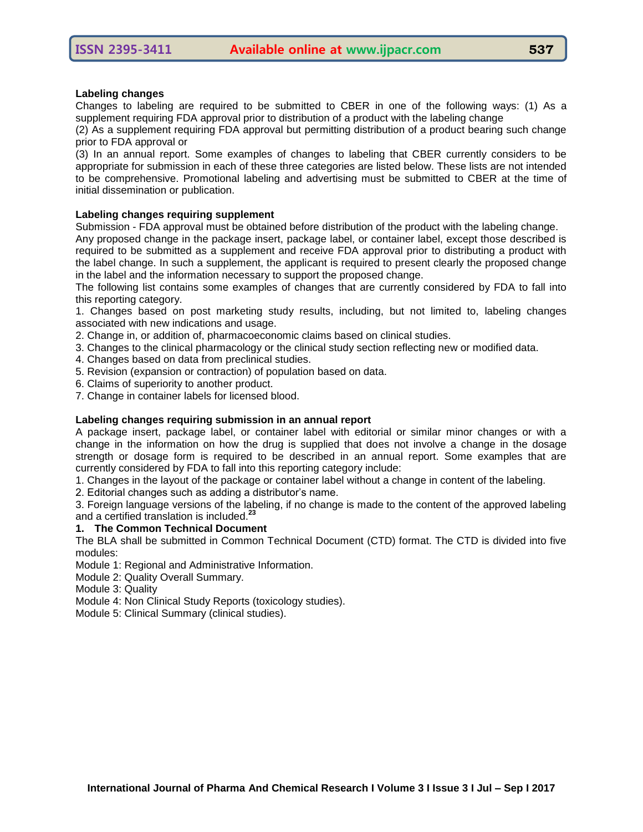## **Labeling changes**

Changes to labeling are required to be submitted to CBER in one of the following ways: (1) As a supplement requiring FDA approval prior to distribution of a product with the labeling change

(2) As a supplement requiring FDA approval but permitting distribution of a product bearing such change prior to FDA approval or

(3) In an annual report. Some examples of changes to labeling that CBER currently considers to be appropriate for submission in each of these three categories are listed below. These lists are not intended to be comprehensive. Promotional labeling and advertising must be submitted to CBER at the time of initial dissemination or publication.

## **Labeling changes requiring supplement**

Submission - FDA approval must be obtained before distribution of the product with the labeling change.

Any proposed change in the package insert, package label, or container label, except those described is required to be submitted as a supplement and receive FDA approval prior to distributing a product with the label change. In such a supplement, the applicant is required to present clearly the proposed change in the label and the information necessary to support the proposed change.

The following list contains some examples of changes that are currently considered by FDA to fall into this reporting category.

1. Changes based on post marketing study results, including, but not limited to, labeling changes associated with new indications and usage.

2. Change in, or addition of, pharmacoeconomic claims based on clinical studies.

3. Changes to the clinical pharmacology or the clinical study section reflecting new or modified data.

- 4. Changes based on data from preclinical studies.
- 5. Revision (expansion or contraction) of population based on data.
- 6. Claims of superiority to another product.
- 7. Change in container labels for licensed blood.

## **Labeling changes requiring submission in an annual report**

A package insert, package label, or container label with editorial or similar minor changes or with a change in the information on how the drug is supplied that does not involve a change in the dosage strength or dosage form is required to be described in an annual report. Some examples that are currently considered by FDA to fall into this reporting category include:

1. Changes in the layout of the package or container label without a change in content of the labeling.

2. Editorial changes such as adding a distributor"s name.

3. Foreign language versions of the labeling, if no change is made to the content of the approved labeling and a certified translation is included.**<sup>23</sup>**

## **1. The Common Technical Document**

The BLA shall be submitted in Common Technical Document (CTD) format. The CTD is divided into five modules:

Module 1: Regional and Administrative Information.

Module 2: Quality Overall Summary.

Module 3: Quality

Module 4: Non Clinical Study Reports (toxicology studies).

Module 5: Clinical Summary (clinical studies).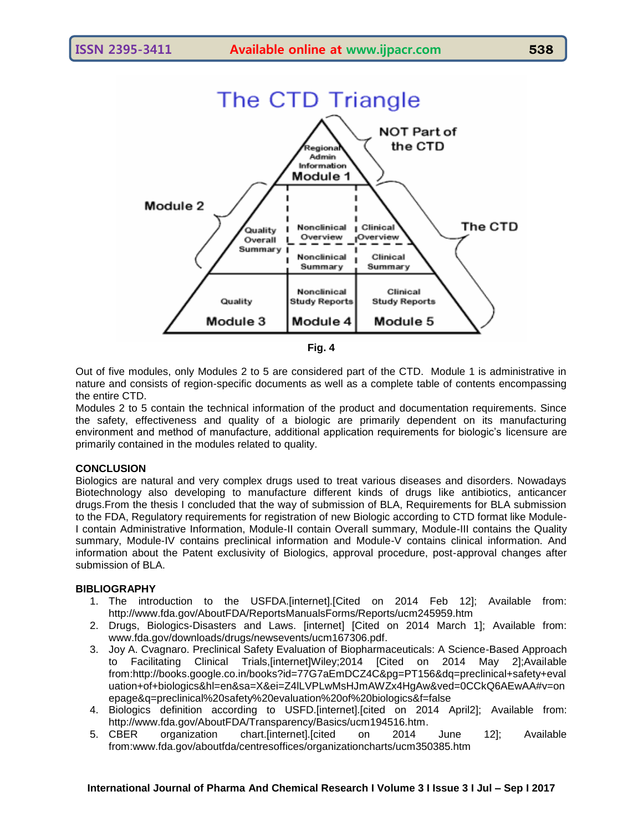



Out of five modules, only Modules 2 to 5 are considered part of the CTD. Module 1 is administrative in nature and consists of region-specific documents as well as a complete table of contents encompassing the entire CTD.

Modules 2 to 5 contain the technical information of the product and documentation requirements. Since the safety, effectiveness and quality of a biologic are primarily dependent on its manufacturing environment and method of manufacture, additional application requirements for biologic"s licensure are primarily contained in the modules related to quality.

## **CONCLUSION**

Biologics are natural and very complex drugs used to treat various diseases and disorders. Nowadays Biotechnology also developing to manufacture different kinds of drugs like antibiotics, anticancer drugs.From the thesis I concluded that the way of submission of BLA, Requirements for BLA submission to the FDA, Regulatory requirements for registration of new Biologic according to CTD format like Module-I contain Administrative Information, Module-II contain Overall summary, Module-III contains the Quality summary, Module-IV contains preclinical information and Module-V contains clinical information. And information about the Patent exclusivity of Biologics, approval procedure, post-approval changes after submission of BLA.

## **BIBLIOGRAPHY**

- 1. The introduction to the USFDA.[internet].[Cited on 2014 Feb 12]; Available from: <http://www.fda.gov/AboutFDA/ReportsManualsForms/Reports/ucm245959.htm>
- 2. Drugs, Biologics-Disasters and Laws. [internet] [Cited on 2014 March 1]; Available from: [www.fda.gov/downloads/drugs/newsevents/ucm167306.pdf.](http://www.fda.gov/downloads/drugs/newsevents/ucm167306.pdf)
- 3. Joy A. Cvagnaro. Preclinical Safety Evaluation of Biopharmaceuticals: A Science-Based Approach to Facilitating Clinical Trials,[internet]Wiley;2014 [Cited on 2014 May 2];Available from[:http://books.google.co.in/books?id=77G7aEmDCZ4C&pg=PT156&dq=preclinical+safety+eval](http://books.google.co.in/books?id=77G7aEmDCZ4C&pg=PT156&dq=preclinical+safety+evaluation+of+biologics&hl=en&sa=X&ei=Z4lLVPLwMsHJmAWZx4HgAw&ved=0CCkQ6AEwAA#v=onepage&q=preclinical%20safety%20evaluation%20of%20biologics&f=false) [uation+of+biologics&hl=en&sa=X&ei=Z4lLVPLwMsHJmAWZx4HgAw&ved=0CCkQ6AEwAA#v=on](http://books.google.co.in/books?id=77G7aEmDCZ4C&pg=PT156&dq=preclinical+safety+evaluation+of+biologics&hl=en&sa=X&ei=Z4lLVPLwMsHJmAWZx4HgAw&ved=0CCkQ6AEwAA#v=onepage&q=preclinical%20safety%20evaluation%20of%20biologics&f=false) [epage&q=preclinical%20safety%20evaluation%20of%20biologics&f=false](http://books.google.co.in/books?id=77G7aEmDCZ4C&pg=PT156&dq=preclinical+safety+evaluation+of+biologics&hl=en&sa=X&ei=Z4lLVPLwMsHJmAWZx4HgAw&ved=0CCkQ6AEwAA#v=onepage&q=preclinical%20safety%20evaluation%20of%20biologics&f=false)
- 4. Biologics definition according to USFD.[internet].[cited on 2014 April2]; Available from: [http://www.fda.gov/AboutFDA/Transparency/Basics/ucm194516.htm.](http://www.fda.gov/AboutFDA/Transparency/Basics/ucm194516.htm)
- 5. CBER organization chart.[internet].[cited on 2014 June 12]; Available from[:www.fda.gov/aboutfda/centresoffices/organizationcharts/ucm350385.htm](http://www.fda.gov/aboutfda/centresoffices/organizationcharts/ucm350385.htm)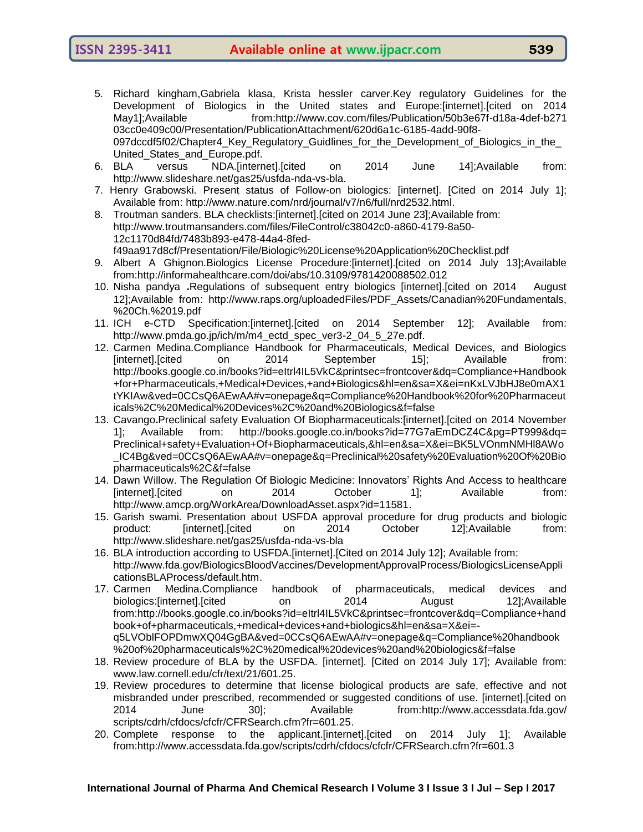- 
- 5. Richard kingham,Gabriela klasa, Krista hessler carver.Key regulatory Guidelines for the Development of Biologics in the United states and Europe:[internet].[cited on 2014 May1];Available from:http://www.cov.com/files/Publication/50b3e67f-d18a-4def-b271 03cc0e409c00/Presentation/PublicationAttachment/620d6a1c-6185-4add-90f8- 097dccdf5f02/Chapter4\_Key\_Regulatory\_Guidlines\_for\_the\_Development\_of\_Biologics\_in\_the\_ United\_States\_and\_Europe.pdf.
- 6. BLA versus NDA.[internet].[cited on 2014 June 14];Available from: [http://www.slideshare.net/gas25/usfda-nda-vs-bla.](http://www.slideshare.net/gas25/usfda-nda-vs-bla)
- 7. Henry Grabowski. Present status of Follow-on biologics: [internet]. [Cited on 2014 July 1]; Available from: [http://www.nature.com/nrd/journal/v7/n6/full/nrd2532.html.](http://www.nature.com/nrd/journal/v7/n6/full/nrd2532.html)
- 8. Troutman sanders. BLA checklists:[internet].[cited on 2014 June 23];Available from: [http://www.troutmansanders.com/files/FileControl/c38042c0-a860-4179-8a50-](http://www.troutmansanders.com/files/FileControl/c38042c0-a860-4179-8a50-12c1170d84fd/7483b893-e478-44a4-8fed-f49aa917d8cf/Presentation/File/Biologic%20License%20Application%20Checklist.pdf) [12c1170d84fd/7483b893-e478-44a4-8fed](http://www.troutmansanders.com/files/FileControl/c38042c0-a860-4179-8a50-12c1170d84fd/7483b893-e478-44a4-8fed-f49aa917d8cf/Presentation/File/Biologic%20License%20Application%20Checklist.pdf)[f49aa917d8cf/Presentation/File/Biologic%20License%20Application%20Checklist.pdf](http://www.troutmansanders.com/files/FileControl/c38042c0-a860-4179-8a50-12c1170d84fd/7483b893-e478-44a4-8fed-f49aa917d8cf/Presentation/File/Biologic%20License%20Application%20Checklist.pdf)
- 9. Albert A Ghignon.Biologics License Procedure:[internet].[cited on 2014 July 13];Available from[:http://informahealthcare.com/doi/abs/10.3109/9781420088502.012](http://informahealthcare.com/doi/abs/10.3109/9781420088502.012)
- 10. Nisha pandya **.**Regulations of subsequent entry biologics [internet].[cited on 2014 August 12];Available from: [http://www.raps.org/uploadedFiles/PDF\\_Assets/Canadian%20Fundamentals,](http://www.raps.org/uploadedFiles/PDF_Assets/Canadian%20Fundamentals,%20%20Ch.%2019.pdf)  [%20Ch.%2019.pdf](http://www.raps.org/uploadedFiles/PDF_Assets/Canadian%20Fundamentals,%20%20Ch.%2019.pdf)
- 11. ICH e-CTD Specification:[internet].[cited on 2014 September 12]; Available from: [http://www.pmda.go.jp/ich/m/m4\\_ectd\\_spec\\_ver3-2\\_04\\_5\\_27e.pdf.](http://www.pmda.go.jp/ich/m/m4_ectd_spec_ver3-2_04_5_27e.pdf)
- 12. Carmen Medina.Compliance Handbook for Pharmaceuticals, Medical Devices, and Biologics [internet].[cited on 2014 September 15]; Available from: [http://books.google.co.in/books?id=eItrl4IL5VkC&printsec=frontcover&dq=Compliance+Handbook](http://books.google.co.in/books?id=eItrl4IL5VkC&printsec=frontcover&dq=Compliance+Handbook+for+Pharmaceuticals,+Medical+Devices,+and+Biologics&hl=en&sa=X&ei=nKxLVJbHJ8e0mAX1tYKIAw&ved=0CCsQ6AEwAA#v=onepage&q=Compliance%20Handbook%20for%20Pharmaceuticals%2C%20Medical%20Devices%2C%20and%20Biologics&f=false) [+for+Pharmaceuticals,+Medical+Devices,+and+Biologics&hl=en&sa=X&ei=nKxLVJbHJ8e0mAX1](http://books.google.co.in/books?id=eItrl4IL5VkC&printsec=frontcover&dq=Compliance+Handbook+for+Pharmaceuticals,+Medical+Devices,+and+Biologics&hl=en&sa=X&ei=nKxLVJbHJ8e0mAX1tYKIAw&ved=0CCsQ6AEwAA#v=onepage&q=Compliance%20Handbook%20for%20Pharmaceuticals%2C%20Medical%20Devices%2C%20and%20Biologics&f=false) [tYKIAw&ved=0CCsQ6AEwAA#v=onepage&q=Compliance%20Handbook%20for%20Pharmaceut](http://books.google.co.in/books?id=eItrl4IL5VkC&printsec=frontcover&dq=Compliance+Handbook+for+Pharmaceuticals,+Medical+Devices,+and+Biologics&hl=en&sa=X&ei=nKxLVJbHJ8e0mAX1tYKIAw&ved=0CCsQ6AEwAA#v=onepage&q=Compliance%20Handbook%20for%20Pharmaceuticals%2C%20Medical%20Devices%2C%20and%20Biologics&f=false) [icals%2C%20Medical%20Devices%2C%20and%20Biologics&f=false](http://books.google.co.in/books?id=eItrl4IL5VkC&printsec=frontcover&dq=Compliance+Handbook+for+Pharmaceuticals,+Medical+Devices,+and+Biologics&hl=en&sa=X&ei=nKxLVJbHJ8e0mAX1tYKIAw&ved=0CCsQ6AEwAA#v=onepage&q=Compliance%20Handbook%20for%20Pharmaceuticals%2C%20Medical%20Devices%2C%20and%20Biologics&f=false)
- 13. Cavango**.**Preclinical safety Evaluation Of Biopharmaceuticals:[internet].[cited on 2014 November 1]; Available from: [http://books.google.co.in/books?id=77G7aEmDCZ4C&pg=PT999&dq=](http://books.google.co.in/books?id=77G7aEmDCZ4C&pg=PT999&dq=%20Preclinical+safety+Evaluation+Of+Biopharmaceuticals,&hl=en&sa=X&ei=BK5LVOnmNMHl8AWo_IC4Bg&ved=0CCsQ6AEwAA#v=onepage&q=Preclinical%20safety%20Evaluation%20Of%20Biopharmaceuticals%2C&f=false)  [Preclinical+safety+Evaluation+Of+Biopharmaceuticals,&hl=en&sa=X&ei=BK5LVOnmNMHl8AWo](http://books.google.co.in/books?id=77G7aEmDCZ4C&pg=PT999&dq=%20Preclinical+safety+Evaluation+Of+Biopharmaceuticals,&hl=en&sa=X&ei=BK5LVOnmNMHl8AWo_IC4Bg&ved=0CCsQ6AEwAA#v=onepage&q=Preclinical%20safety%20Evaluation%20Of%20Biopharmaceuticals%2C&f=false) [\\_IC4Bg&ved=0CCsQ6AEwAA#v=onepage&q=Preclinical%20safety%20Evaluation%20Of%20Bio](http://books.google.co.in/books?id=77G7aEmDCZ4C&pg=PT999&dq=%20Preclinical+safety+Evaluation+Of+Biopharmaceuticals,&hl=en&sa=X&ei=BK5LVOnmNMHl8AWo_IC4Bg&ved=0CCsQ6AEwAA#v=onepage&q=Preclinical%20safety%20Evaluation%20Of%20Biopharmaceuticals%2C&f=false) [pharmaceuticals%2C&f=false](http://books.google.co.in/books?id=77G7aEmDCZ4C&pg=PT999&dq=%20Preclinical+safety+Evaluation+Of+Biopharmaceuticals,&hl=en&sa=X&ei=BK5LVOnmNMHl8AWo_IC4Bg&ved=0CCsQ6AEwAA#v=onepage&q=Preclinical%20safety%20Evaluation%20Of%20Biopharmaceuticals%2C&f=false)
- 14. Dawn Willow. The Regulation Of Biologic Medicine: Innovators" Rights And Access to healthcare [internet].[cited on 2014 October 1]; Available from: [http://www.amcp.org/WorkArea/DownloadAsset.aspx?id=11581.](http://www.amcp.org/WorkArea/DownloadAsset.aspx?id=11581)
- 15. Garish swami. Presentation about USFDA approval procedure for drug products and biologic product: [internet].[cited on 2014 October 12];Available from: <http://www.slideshare.net/gas25/usfda-nda-vs-bla>
- 16. BLA introduction according to USFDA.[internet].[Cited on 2014 July 12]; Available from: [http://www.fda.gov/BiologicsBloodVaccines/DevelopmentApprovalProcess/BiologicsLicenseAppli](http://www.fda.gov/BiologicsBloodVaccines/DevelopmentApprovalProcess/BiologicsLicenseApplicationsBLAProcess/default.htm) [cationsBLAProcess/default.htm.](http://www.fda.gov/BiologicsBloodVaccines/DevelopmentApprovalProcess/BiologicsLicenseApplicationsBLAProcess/default.htm)
- 17. Carmen Medina.Compliance handbook of pharmaceuticals, medical devices and biologics:[internet].[cited on 2014 August 12];Available from[:http://books.google.co.in/books?id=eItrl4IL5VkC&printsec=frontcover&dq=Compliance+hand](http://books.google.co.in/books?id=eItrl4IL5VkC&printsec=frontcover&dq=Compliance+handbook+of+pharmaceuticals,+medical+devices+and+biologics&hl=en&sa=X&ei=-q5LVOblFOPDmwXQ04GgBA&ved=0CCsQ6AEwAA#v=onepage&q=Compliance%20handbook%20of%20pharmaceuticals%2C%20medical%20devices%20and%20biologics&f=false) [book+of+pharmaceuticals,+medical+devices+and+biologics&hl=en&sa=X&ei=](http://books.google.co.in/books?id=eItrl4IL5VkC&printsec=frontcover&dq=Compliance+handbook+of+pharmaceuticals,+medical+devices+and+biologics&hl=en&sa=X&ei=-q5LVOblFOPDmwXQ04GgBA&ved=0CCsQ6AEwAA#v=onepage&q=Compliance%20handbook%20of%20pharmaceuticals%2C%20medical%20devices%20and%20biologics&f=false) [q5LVOblFOPDmwXQ04GgBA&ved=0CCsQ6AEwAA#v=onepage&q=Compliance%20handbook](http://books.google.co.in/books?id=eItrl4IL5VkC&printsec=frontcover&dq=Compliance+handbook+of+pharmaceuticals,+medical+devices+and+biologics&hl=en&sa=X&ei=-q5LVOblFOPDmwXQ04GgBA&ved=0CCsQ6AEwAA#v=onepage&q=Compliance%20handbook%20of%20pharmaceuticals%2C%20medical%20devices%20and%20biologics&f=false) [%20of%20pharmaceuticals%2C%20medical%20devices%20and%20biologics&f=false](http://books.google.co.in/books?id=eItrl4IL5VkC&printsec=frontcover&dq=Compliance+handbook+of+pharmaceuticals,+medical+devices+and+biologics&hl=en&sa=X&ei=-q5LVOblFOPDmwXQ04GgBA&ved=0CCsQ6AEwAA#v=onepage&q=Compliance%20handbook%20of%20pharmaceuticals%2C%20medical%20devices%20and%20biologics&f=false)
- 18. Review procedure of BLA by the USFDA. [internet]. [Cited on 2014 July 17]; Available from: [www.law.cornell.edu/cfr/text/21/601.25.](http://www.law.cornell.edu/cfr/text/21/601.25)
- 19. Review procedures to determine that license biological products are safe, effective and not misbranded under prescribed, recommended or suggested conditions of use. [internet].[cited on 2014 June 30]; Available from[:http://www.accessdata.fda.gov/](http://www.accessdata.fda.gov/%20scripts/cdrh/cfdocs/cfcfr/CFRSearch.cfm?fr=601.25)  [scripts/cdrh/cfdocs/cfcfr/CFRSearch.cfm?fr=601.25.](http://www.accessdata.fda.gov/%20scripts/cdrh/cfdocs/cfcfr/CFRSearch.cfm?fr=601.25)
- 20. Complete response to the applicant.[internet].[cited on 2014 July 1]; Available from[:http://www.accessdata.fda.gov/scripts/cdrh/cfdocs/cfcfr/CFRSearch.cfm?fr=601.3](http://www.accessdata.fda.gov/scripts/cdrh/cfdocs/cfcfr/CFRSearch.cfm?fr=601.3)